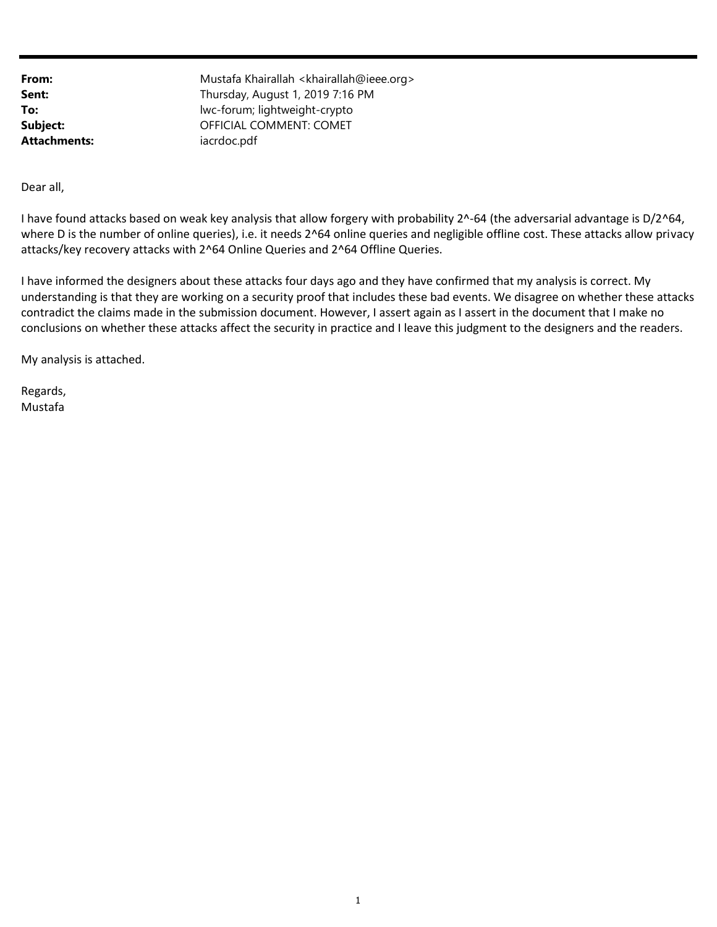Attachments: iacrdoc.pdf

**From:** Mustafa Khairallah <khairallah@ieee.org> Sent: Sent: Thursday, August 1, 2019 7:16 PM To: lwc-forum; lightweight-crypto Subject: OFFICIAL COMMENT: COMET

Dear all,

where D is the number of online queries), i.e. it needs 2^64 online queries and negligible offline cost. These attacks allow privacy attacks/key recovery attacks with 2^64 Online Queries and 2^64 Offline Queries. I have found attacks based on weak key analysis that allow forgery with probability 2^-64 (the adversarial advantage is D/2^64,

 understanding is that they are working on a security proof that includes these bad events. We disagree on whether these attacks conclusions on whether these attacks affect the security in practice and I leave this judgment to the designers and the readers. I have informed the designers about these attacks four days ago and they have confirmed that my analysis is correct. My contradict the claims made in the submission document. However, I assert again as I assert in the document that I make no

My analysis is attached.

Regards, Mustafa